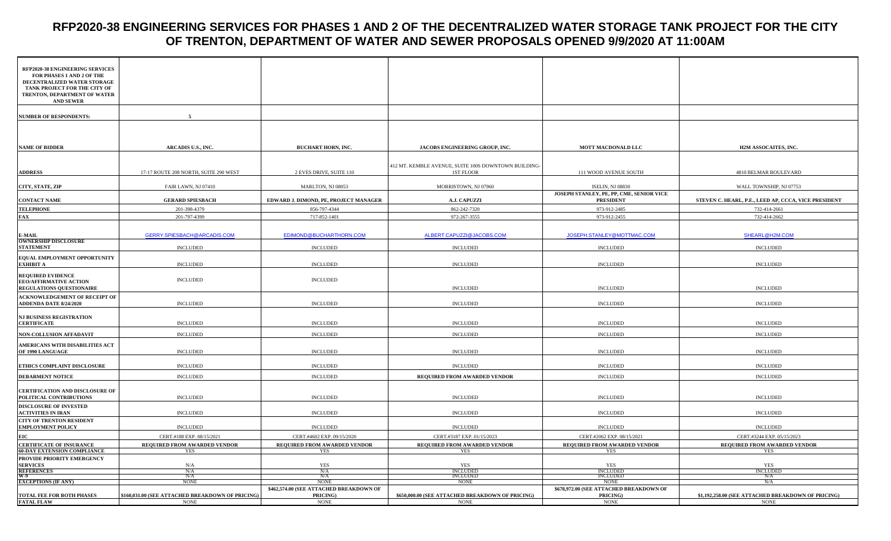## **RFP2020-38 ENGINEERING SERVICES FOR PHASES 1 AND 2 OF THE DECENTRALIZED WATER STORAGE TANK PROJECT FOR THE CITY OF TRENTON, DEPARTMENT OF WATER AND SEWER PROPOSALS OPENED 9/9/2020 AT 11:00AM**

| <b>RFP2020-38 ENGINEERING SERVICES</b><br>FOR PHASES 1 AND 2 OF THE<br>DECENTRALIZED WATER STORAGE<br>TANK PROJECT FOR THE CITY OF<br>TRENTON, DEPARTMENT OF WATER<br><b>AND SEWER</b> |                                                                |                                                                    |                                                                          |                                                                    |                                                                   |
|----------------------------------------------------------------------------------------------------------------------------------------------------------------------------------------|----------------------------------------------------------------|--------------------------------------------------------------------|--------------------------------------------------------------------------|--------------------------------------------------------------------|-------------------------------------------------------------------|
| <b>NUMBER OF RESPONDENTS:</b>                                                                                                                                                          | -5                                                             |                                                                    |                                                                          |                                                                    |                                                                   |
| <b>NAME OF BIDDER</b>                                                                                                                                                                  | ARCADIS U.S., INC.                                             | BUCHART HORN, INC.                                                 | JACOBS ENGINEERING GROUP, INC.                                           | MOTT MACDONALD LLC                                                 | H2M ASSOCAITES, INC.                                              |
| <b>ADDRESS</b>                                                                                                                                                                         | 17-17 ROUTE 208 NORTH, SUITE 290 WEST                          | 2 EVES DRIVE, SUITE 110                                            | 412 MT. KEMBLE AVENUE, SUITE 100S DOWNTOWN BUILDING-<br><b>1ST FLOOR</b> | 111 WOOD AVENUE SOUTH                                              | 4810 BELMAR BOULEVARD                                             |
| CITY, STATE, ZIP                                                                                                                                                                       | FAIR LAWN, NJ 07410                                            | MARLTON, NJ 08053                                                  | MORRISTOWN, NJ 07960                                                     | <b>ISELIN, NJ 08830</b>                                            | WALL TOWNSHIP, NJ 07753                                           |
| <b>CONTACT NAME</b>                                                                                                                                                                    | <b>GERARD SPIESBACH</b>                                        | EDWARD J. DIMOND, PE, PROJECT MANAGER                              | A.J. CAPUZZI                                                             | JOSEPH STANLEY, PE, PP, CME, SENIOR VICE<br><b>PRESIDENT</b>       | STEVEN C. HEARL, P.E., LEED AP, CCCA, VICE PRESIDENT              |
| <b>TELEPHONE</b>                                                                                                                                                                       | 201-398-4379                                                   | 856-797-4344                                                       | 862-242-7320                                                             | 973-912-2485                                                       | 732-414-2661                                                      |
| <b>FAX</b>                                                                                                                                                                             | 201-797-4399                                                   | 717-852-1401                                                       | 972-267-3555                                                             | 973-912-2455                                                       | 732-414-2662                                                      |
| E-MAIL<br>OWNERSHIP DISCLOSURE                                                                                                                                                         | GERRY.SPIESBACH@ARCADIS.COM                                    | EDIMOND@BUCHARTHORN.COM                                            | ALBERT.CAPUZZI@JACOBS.COM                                                | JOSEPH.STANLEY@MOTTMAC.COM                                         | SHEARL@H2M.COM                                                    |
| <b>STATEMENT</b>                                                                                                                                                                       | <b>INCLUDED</b>                                                | <b>INCLUDED</b>                                                    | <b>INCLUDED</b>                                                          | <b>INCLUDED</b>                                                    | <b>INCLUDED</b>                                                   |
| EQUAL EMPLOYMENT OPPORTUNITY<br>EXHIBIT A                                                                                                                                              | <b>INCLUDED</b>                                                | <b>INCLUDED</b>                                                    | <b>INCLUDED</b>                                                          | <b>INCLUDED</b>                                                    | <b>INCLUDED</b>                                                   |
| <b>REQUIRED EVIDENCE</b><br>EEO/AFFIRMATIVE ACTION<br><b>REGULATIONS QUESTIONAIRE</b>                                                                                                  | INCLUDED                                                       | <b>INCLUDED</b>                                                    | <b>INCLUDED</b>                                                          | <b>INCLUDED</b>                                                    | <b>INCLUDED</b>                                                   |
| ACKNOWLEDGEMENT OF RECEIPT OF<br><b>ADDENDA DATE 8/24/2020</b>                                                                                                                         | <b>INCLUDED</b>                                                | <b>INCLUDED</b>                                                    | <b>INCLUDED</b>                                                          | <b>INCLUDED</b>                                                    | <b>INCLUDED</b>                                                   |
| <b>NJ BUSINESS REGISTRATION</b><br><b>CERTIFICATE</b>                                                                                                                                  | <b>INCLUDED</b>                                                | <b>INCLUDED</b>                                                    | <b>INCLUDED</b>                                                          | <b>INCLUDED</b>                                                    | <b>INCLUDED</b>                                                   |
| NON-COLLUSION AFFADAVIT                                                                                                                                                                | <b>INCLUDED</b>                                                | <b>INCLUDED</b>                                                    | <b>INCLUDED</b>                                                          | <b>INCLUDED</b>                                                    | <b>INCLUDED</b>                                                   |
| AMERICANS WITH DISABILITIES ACT<br>OF 1990 LANGUAGE                                                                                                                                    | <b>INCLUDED</b>                                                | <b>INCLUDED</b>                                                    | <b>INCLUDED</b>                                                          | <b>INCLUDED</b>                                                    | <b>INCLUDED</b>                                                   |
|                                                                                                                                                                                        |                                                                |                                                                    |                                                                          |                                                                    |                                                                   |
| ETHICS COMPLAINT DISCLOSURE                                                                                                                                                            | <b>INCLUDED</b><br><b>INCLUDED</b>                             | <b>INCLUDED</b><br><b>INCLUDED</b>                                 | <b>INCLUDED</b>                                                          | <b>INCLUDED</b><br><b>INCLUDED</b>                                 | <b>INCLUDED</b><br><b>INCLUDED</b>                                |
| <b>DEBARMENT NOTICE</b><br>CERTIFICATION AND DISCLOSURE OF<br>POLITICAL CONTRIBUTIONS                                                                                                  | <b>INCLUDED</b>                                                | <b>INCLUDED</b>                                                    | REQUIRED FROM AWARDED VENDOR<br><b>INCLUDED</b>                          | <b>INCLUDED</b>                                                    | <b>INCLUDED</b>                                                   |
| <b>DISCLOSURE OF INVESTED</b><br><b>ACTIVITIES IN IRAN</b>                                                                                                                             | <b>INCLUDED</b>                                                | <b>INCLUDED</b>                                                    | <b>INCLUDED</b>                                                          | <b>INCLUDED</b>                                                    | <b>INCLUDED</b>                                                   |
| CITY OF TRENTON RESIDENT<br><b>EMPLOYMENT POLICY</b>                                                                                                                                   | <b>INCLUDED</b>                                                | <b>INCLUDED</b>                                                    | <b>INCLUDED</b>                                                          | <b>INCLUDED</b>                                                    | <b>INCLUDED</b>                                                   |
| <b>EIC</b>                                                                                                                                                                             | CERT.#188 EXP. 08/15/2021                                      | CERT.#4602 EXP. 09/15/2020                                         | CERT.#3187 EXP. 01/15/2023                                               | CERT.#2062 EXP. 08/15/2021                                         | CERT.#3244 EXP. 05/15/2023                                        |
| <b>CERTIFICATE OF INSURANCE</b><br><b>60-DAY EXTENSION COMPLIANCE</b>                                                                                                                  | REQUIRED FROM AWARDED VENDOR<br>YES                            | REQUIRED FROM AWARDED VENDOR<br>YES                                | REQUIRED FROM AWARDED VENDOR<br>YES                                      | REQUIRED FROM AWARDED VENDOR<br>YES                                | REQUIRED FROM AWARDED VENDOR<br>YES                               |
| PROVIDE PRIORITY EMERGENCY                                                                                                                                                             |                                                                |                                                                    |                                                                          |                                                                    |                                                                   |
| <b>SERVICES</b>                                                                                                                                                                        | N/A                                                            | <b>YES</b>                                                         | <b>YES</b>                                                               | YES                                                                | YES                                                               |
| REFERENCES<br>W-9                                                                                                                                                                      | N/A<br>N/A                                                     | N/A<br>N/A                                                         | <b>INCLUDED</b><br><b>INCLUDED</b>                                       | <b>INCLUDED</b><br><b>INCLUDED</b>                                 | <b>INCLUDED</b><br>N/A                                            |
| <b>EXCEPTIONS (IF ANY)</b>                                                                                                                                                             | <b>NONE</b>                                                    | <b>NONE</b>                                                        | <b>NONE</b>                                                              | <b>NONE</b>                                                        | N/A                                                               |
| TOTAL FEE FOR BOTH PHASES<br><b>FATAL FLAW</b>                                                                                                                                         | \$160,031.00 (SEE ATTACHED BREAKDOWN OF PRICING<br><b>NONE</b> | \$462,574.00 (SEE ATTACHED BREAKDOWN OF<br>PRICING)<br><b>NONE</b> | \$650,000.00 (SEE ATTACHED BREAKDOWN OF PRICING)<br><b>NONE</b>          | \$678,972.00 (SEE ATTACHED BREAKDOWN OF<br>PRICING)<br><b>NONE</b> | \$1,192,258.00 (SEE ATTACHED BREAKDOWN OF PRICING)<br><b>NONE</b> |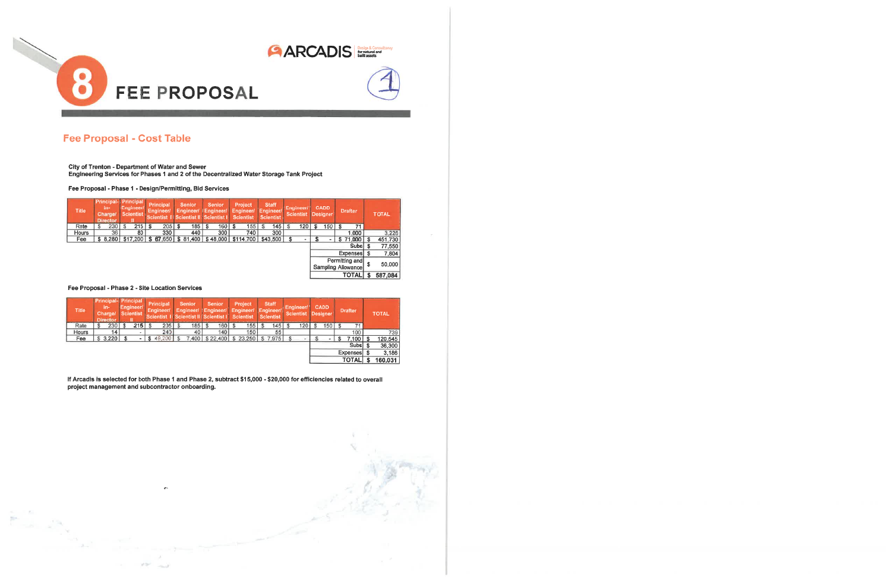

# **Fee Proposal - Cost Table**

City of Trenton - Department of Water and Sewer

Engineering Services for Phases 1 and 2 of the Decentralized Water Storage Tank Project

Fee Proposal - Phase 1 - Design/Permitting, Bid Services

| <b>Title</b> | <b>Principal-</b> Principal<br>in-<br><b>Charge/</b><br><b>Director</b> | Engineer/<br><b>Scientist</b> | Principal<br>Engineer/ |   | <b>Senior</b><br>Engineer/<br>Scientist II Scientist II   Scientist I |          | <b>Senior</b><br>Engineer/ | Engineer/<br><b>Scientist</b> | Project | <b>Staff</b><br>Engineer/<br><b>Scientist</b> | Engineer/<br><b>Scientist</b> |    | <b>CADD</b><br><b>Designer</b> | <b>Drafter</b>                       |    | <b>TOTAL</b> |
|--------------|-------------------------------------------------------------------------|-------------------------------|------------------------|---|-----------------------------------------------------------------------|----------|----------------------------|-------------------------------|---------|-----------------------------------------------|-------------------------------|----|--------------------------------|--------------------------------------|----|--------------|
| Rate         | 230                                                                     | 215                           | 205                    | S | 185                                                                   | <b>S</b> | 160                        | -S                            | 155     | 145                                           | 120                           | -S | 150                            | 71                                   |    |              |
| Hours        | 36                                                                      | 80                            | 330                    |   | 440                                                                   |          | 300                        |                               | 740     | 300                                           |                               |    |                                | 1.000                                |    | 3,226        |
| Fee          | \$8.280                                                                 |                               |                        |   | $$17,200$   \$67,650   \$81,400   \$48,000   \$114,700   \$43,500     |          |                            |                               |         |                                               |                               |    |                                | 71,000                               | S  | 451,730      |
|              |                                                                         |                               |                        |   |                                                                       |          |                            |                               |         |                                               |                               |    |                                | Subs \$                              |    | 77,550       |
|              |                                                                         |                               |                        |   |                                                                       |          |                            |                               |         |                                               |                               |    |                                | Expenses \$                          |    | 7,804        |
|              |                                                                         |                               |                        |   |                                                                       |          |                            |                               |         |                                               |                               |    |                                | Permitting and<br>Sampling Allowance | \$ | 50,000       |
|              |                                                                         |                               |                        |   |                                                                       |          |                            |                               |         |                                               |                               |    |                                | TOTAL                                |    | 587,084      |

Fee Proposal - Phase 2 - Site Location Services

year.

 $\sim 10^{-1}$ 

| <b>Title</b> | Principal-   Principal<br>in-<br>Charge/<br>Director | Engineer/<br><b>Scientist</b> | Principal<br>Engineer/<br>Scientist II Scientist II Scientist I Scientist | Senior | Senior | Project<br>Engineer/ Engineer/ Engineer/ Engineer/ | <b>Staff</b><br><b>Scientist</b> | Engineer/<br>Scientist Designer | <b>CADD</b> | <b>Drafter</b> | <b>TOTAL</b> |
|--------------|------------------------------------------------------|-------------------------------|---------------------------------------------------------------------------|--------|--------|----------------------------------------------------|----------------------------------|---------------------------------|-------------|----------------|--------------|
| Rate         | 230                                                  | 215                           | 205                                                                       | 185    | 160    | 155                                                | 145.                             | 120                             | 150         |                |              |
| <b>Hours</b> | 14                                                   |                               | 240                                                                       | 40     | 140    | 150                                                | 55                               |                                 |             | 100            | 739          |
| Fee          | \$3.220                                              |                               | \$49,200                                                                  |        |        | 7.400   \$22.400   \$23.250   \$7.975              |                                  |                                 |             | 7,100          | 120.545      |
|              |                                                      |                               |                                                                           |        |        |                                                    |                                  |                                 |             | Subsi \$       | 36,300       |
|              |                                                      |                               |                                                                           |        |        |                                                    |                                  |                                 |             | Expenses       | 3,186        |
|              |                                                      |                               |                                                                           |        |        |                                                    |                                  |                                 |             | <b>TOTAL</b>   | 160,031      |

If Arcadis is selected for both Phase 1 and Phase 2, subtract \$15,000 - \$20,000 for efficiencies related to overall project management and subcontractor onboarding.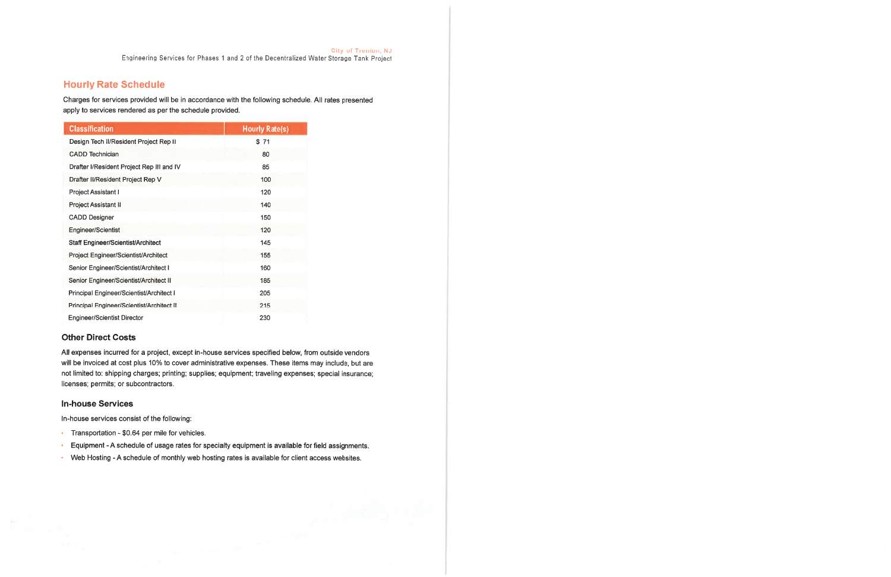City of Trenton, NJ<br>Engineering Services for Phases 1 and 2 of the Decentralized Water Storage Tank Project

## **Hourly Rate Schedule**

Charges for services provided will be in accordance with the following schedule. All rates presented apply to services rendered as per the schedule provided.

| <b>Classification</b>                     | <b>Hourly Rate(s)</b> |
|-------------------------------------------|-----------------------|
| Design Tech II/Resident Project Rep II    | \$71                  |
| CADD Technician                           | 80                    |
| Drafter I/Resident Project Rep III and IV | 85                    |
| Drafter II/Resident Project Rep V         | 100                   |
| Project Assistant I                       | 120                   |
| <b>Project Assistant II</b>               | 140                   |
| <b>CADD Designer</b>                      | 150                   |
| Engineer/Scientist                        | 120                   |
| Staff Engineer/Scientist/Architect        | 145                   |
| Project Engineer/Scientist/Architect      | 155                   |
| Senior Engineer/Scientist/Architect I     | 160                   |
| Senior Engineer/Scientist/Architect II    | 185                   |
| Principal Engineer/Scientist/Architect I  | 205                   |
| Principal Engineer/Scientist/Architect II | 215                   |
| <b>Engineer/Scientist Director</b>        | 230                   |

### **Other Direct Costs**

All expenses incurred for a project, except in-house services specified below, from outside vendors will be invoiced at cost plus 10% to cover administrative expenses. These items may include, but are not limited to: shipping charges; printing; supplies; equipment; traveling expenses; special insurance; licenses; permits; or subcontractors.

#### **In-house Services**

In-house services consist of the following:

- Transportation \$0.64 per mile for vehicles.
- Equipment A schedule of usage rates for specialty equipment is available for field assignments.
- Web Hosting A schedule of monthly web hosting rates is available for client access websites.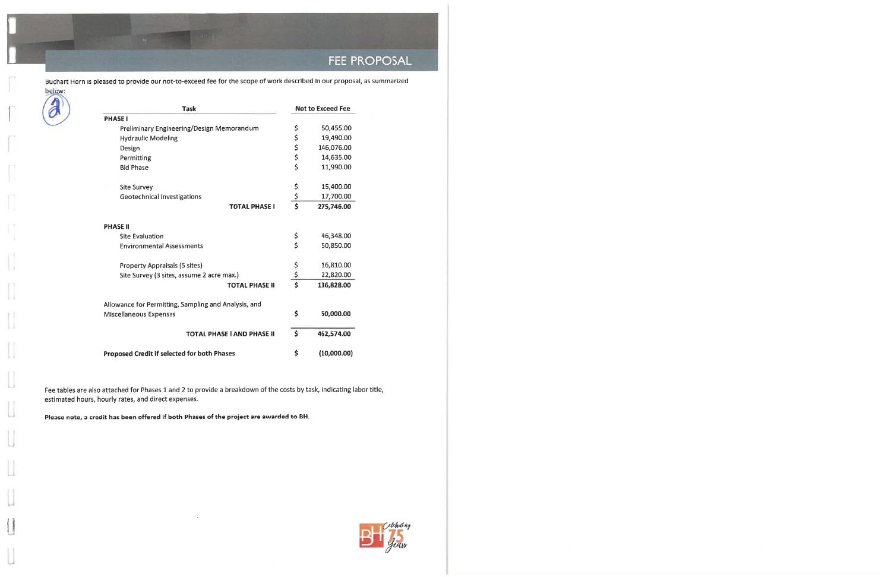

Buchart Horn is pleased to provide our not-to-exceed fee for the scope of work described in our proposal, as summarized below:

| <b>Task</b>                                          |                                 | <b>Not to Exceed Fee</b> |
|------------------------------------------------------|---------------------------------|--------------------------|
| <b>PHASE I</b>                                       |                                 |                          |
| Preliminary Engineering/Design Memorandum            | \$                              | 50,455.00                |
| <b>Hydraulic Modeling</b>                            | \$                              | 19,490.00                |
| Design                                               | \$<br>\$                        | 146,076.00               |
| Permitting                                           |                                 | 14,635.00                |
| <b>Bid Phase</b>                                     | \$                              | 11,990.00                |
| <b>Site Survey</b>                                   | \$                              | 15,400.00                |
| Geotechnical Investigations                          | $rac{5}{5}$                     | 17,700.00                |
| <b>TOTAL PHASE I</b>                                 |                                 | 275,746.00               |
| <b>PHASE II</b>                                      |                                 |                          |
| <b>Site Evaluation</b>                               | \$                              | 46,348.00                |
| <b>Environmental Assessments</b>                     | \$                              | 50,850.00                |
| Property Appraisals (5 sites)                        |                                 | 16,810.00                |
| Site Survey (3 sites, assume 2 acre max.)            | $\frac{5}{5}$                   | 22,820.00                |
| <b>TOTAL PHASE II</b>                                | $\overline{\boldsymbol{\zeta}}$ | 136,828.00               |
| Allowance for Permitting, Sampling and Analysis, and |                                 |                          |
| Miscellaneous Expenses                               | \$                              | 50,000.00                |
| <b>TOTAL PHASE I AND PHASE II</b>                    | $\frac{1}{2}$                   | 462,574.00               |
| <b>Proposed Credit if selected for both Phases</b>   | \$                              | (10,000.00)              |

Fee tables are also attached for Phases 1 and 2 to provide a breakdown of the costs by task, indicating labor title, estimated hours, hourly rates, and direct expenses.

Please note, a credit has been offered if both Phases of the project are awarded to BH.



 $\mathbf{L}$ TT.  $\mathcal{A}_{\mathrm{max}}$  $\bigcap$  $\mathcal{L}_{\text{max}}$  $\begin{bmatrix} 1 \\ 1 \end{bmatrix}$ u

**U** 

u

a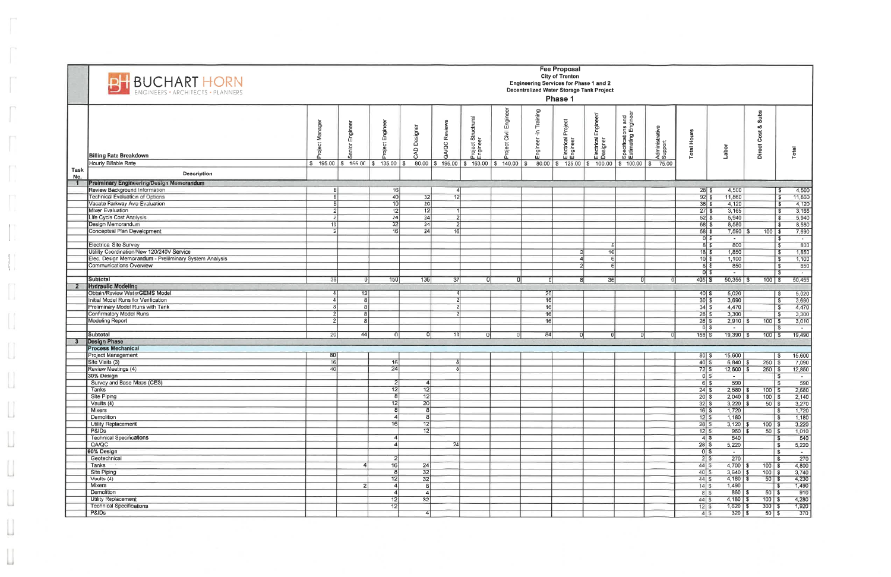|             | <b>BH BUCHART HORN</b>                                                                   |                      |                         |                   |                         |                |                                            |                      |                          | <b>Fee Proposal</b><br><b>City of Trenton</b><br><b>Engineering Services for Phase 1 and 2</b><br>Decentralized Water Storage Tank Project<br>Phase 1 |                                           |                                           |                           |                              |                                 |                                  |                                       |
|-------------|------------------------------------------------------------------------------------------|----------------------|-------------------------|-------------------|-------------------------|----------------|--------------------------------------------|----------------------|--------------------------|-------------------------------------------------------------------------------------------------------------------------------------------------------|-------------------------------------------|-------------------------------------------|---------------------------|------------------------------|---------------------------------|----------------------------------|---------------------------------------|
|             | <b>Billing Rate Breakdown</b><br>Hourly Billable Rate                                    | Nai                  | Engin                   | Engineer<br>oject | Designer<br>5           | QA/QC Reviews  | t Structrural<br>श्र<br>Project<br>Enginee | oject Civil Engineer | Training<br>두<br>ngineer | Electrical Project<br>Engineer                                                                                                                        | Engineer/<br>lectrical I<br>esigner<br>面直 | Specifications and<br>Estimating Engineer | Administrative<br>Support | <b>Total Hours</b>           | Labor                           | <b>Subs</b><br>oð<br>Direct Cost | Total                                 |
| Task<br>No. | Description                                                                              | $\frac{1}{3}$ 195.00 | $$155.00$ $$135.00$     |                   | 80.00<br>1\$            | \$ 195.00      | \$ 163.00                                  | 140.00<br>  \$       | 80.00                    | 125.00<br>∣\$⊺                                                                                                                                        | 100.00                                    | \$100.00                                  | 75.00<br>$\sqrt{3}$       |                              |                                 |                                  |                                       |
|             | Preiminary Engineering/Design Memorandum                                                 |                      |                         |                   |                         |                |                                            |                      |                          |                                                                                                                                                       |                                           |                                           |                           |                              |                                 |                                  |                                       |
|             | Review Background Information                                                            |                      |                         | 16                |                         |                |                                            |                      |                          |                                                                                                                                                       |                                           |                                           |                           | 285                          | 4,500                           |                                  | 4,500<br>Ŝ.                           |
|             | Technical Evaluation of Options                                                          |                      |                         | 40                | 32                      | 12             |                                            |                      |                          |                                                                                                                                                       |                                           |                                           |                           | $92\overline{3}$             | 11,860                          |                                  | 11,860<br>$\overline{\mathbf{s}}$     |
|             | Vacate Parkway Ave Evaluation                                                            |                      |                         | 10 <sup>1</sup>   | $\overline{20}$         |                |                                            |                      |                          |                                                                                                                                                       |                                           |                                           |                           | 36S                          | 4,120                           |                                  | 4,120<br>- \$                         |
|             | Mixer Evaluation                                                                         |                      |                         | 12                | 12                      |                |                                            |                      |                          |                                                                                                                                                       |                                           |                                           |                           | $\overline{27}$ \$           | 3,165                           |                                  | 3,165<br>S                            |
|             | Life Cycle Cost Analysis                                                                 |                      |                         | 24                | $\overline{24}$         | $\overline{2}$ |                                            |                      |                          |                                                                                                                                                       |                                           |                                           |                           | $52\overline{3}$             | 5,940                           |                                  | 5,940<br>-S                           |
|             | Design Memorandum                                                                        | 10                   |                         | 32                | $\overline{24}$         | $\overline{2}$ |                                            |                      |                          |                                                                                                                                                       |                                           |                                           |                           | 68 \$                        | 8,580                           |                                  | 8,580<br>\$                           |
|             | Conceptual Plan Development                                                              |                      |                         | 16                | $\overline{24}$         | 16             |                                            |                      |                          |                                                                                                                                                       |                                           |                                           |                           | $58$ \$                      | 7,590                           | $100$ \$                         | 7,690                                 |
|             |                                                                                          |                      |                         |                   |                         |                |                                            |                      |                          |                                                                                                                                                       |                                           |                                           |                           | $\overline{0}$ s             | $\sim$                          |                                  | $\overline{\mathbf{s}}$<br>$\sim$     |
|             | <b>Electrical Site Survey</b>                                                            |                      |                         |                   |                         |                |                                            |                      |                          |                                                                                                                                                       | 8                                         |                                           |                           | 85                           | 800                             |                                  | 800<br>$\overline{\mathcal{S}}$       |
|             | Utililty Coordination/New 120/240V Service                                               |                      |                         |                   |                         |                |                                            |                      |                          |                                                                                                                                                       | 16                                        |                                           |                           | $\frac{18}{3}$               | 1,850                           |                                  | 1,850<br><b>S</b>                     |
|             | Elec. Design Memorandum - Prelilminary System Analysis<br><b>Communications Overview</b> |                      |                         |                   |                         |                |                                            |                      |                          |                                                                                                                                                       | 6                                         |                                           |                           | $\overline{10}$ \$           | 1,100                           |                                  | 1,100<br>- \$                         |
|             |                                                                                          |                      |                         |                   |                         |                |                                            |                      |                          |                                                                                                                                                       |                                           |                                           |                           | 85<br>0s                     | 850<br>$\overline{\phantom{a}}$ |                                  | 850<br>S.<br>-S<br>$\sim$             |
|             | Subtotal                                                                                 | 38                   |                         | 150               | 136                     | 37             | οı                                         | n                    |                          | -8                                                                                                                                                    | 36                                        |                                           |                           | $405$ \$                     | $50,355$ \$                     | $100$ $\sqrt{5}$                 | 50,455                                |
|             | <b>Hydraulic Modeling</b>                                                                |                      |                         |                   |                         |                |                                            |                      |                          |                                                                                                                                                       |                                           |                                           |                           |                              |                                 |                                  |                                       |
|             | Obtain/Review WaterGEMS Model                                                            |                      | 12                      |                   |                         | 4              |                                            |                      | 20                       |                                                                                                                                                       |                                           |                                           |                           | $40\sqrt{3}$                 | 5,020                           |                                  | 5,020<br><b>S</b>                     |
|             | Initial Model Runs for Verification                                                      | $\epsilon$           | $\overline{\mathbf{a}}$ |                   |                         |                |                                            |                      | $\overline{16}$          |                                                                                                                                                       |                                           |                                           |                           | $30\sqrt{3}$                 | 3,690                           |                                  | 3,690<br><b>S</b>                     |
|             | Preliminary Model Runs with Tank                                                         |                      |                         |                   |                         |                |                                            |                      | 16                       |                                                                                                                                                       |                                           |                                           |                           | 34S                          | 4,470                           |                                  | 4,470<br>\$                           |
|             | Confirmatory Model Runs                                                                  | 2                    |                         |                   |                         |                |                                            |                      | 16                       |                                                                                                                                                       |                                           |                                           |                           | 28S                          | 3,300                           |                                  | 3,300<br>- \$                         |
|             | <b>Modeling Report</b>                                                                   |                      | я                       |                   |                         |                |                                            |                      | 16                       |                                                                                                                                                       |                                           |                                           |                           | 26S                          | $2,910$ \$                      | $100$   \$                       | 3,010                                 |
|             |                                                                                          |                      |                         |                   |                         |                |                                            |                      |                          |                                                                                                                                                       |                                           |                                           |                           | O S                          | $\sim$                          |                                  | - \$<br>$\sim$                        |
|             | <b>Subtotal</b>                                                                          | 20                   | 44                      |                   | 0I                      | 10             | 0                                          | 0                    | 84                       | 0                                                                                                                                                     |                                           |                                           |                           | 158S                         | $19,390$ \$                     | $100$   \$                       | 19,490                                |
|             | <b>Design Phase</b>                                                                      |                      |                         |                   |                         |                |                                            |                      |                          |                                                                                                                                                       |                                           |                                           |                           |                              |                                 |                                  |                                       |
|             | <b>Process Mechanical</b>                                                                |                      |                         |                   |                         |                |                                            |                      |                          |                                                                                                                                                       |                                           |                                           |                           |                              |                                 |                                  |                                       |
|             | Project Management                                                                       | 80                   |                         |                   |                         |                |                                            |                      |                          |                                                                                                                                                       |                                           |                                           |                           | $80\sqrt{3}$                 | 15,600                          |                                  | 15,600<br>  \$                        |
|             | Site Visits (3)                                                                          | 16                   |                         | 16                |                         | 8              |                                            |                      |                          |                                                                                                                                                       |                                           |                                           |                           | $40\overline{3}$             | $6,840$ \$                      | $250$ \$                         | 7,090                                 |
|             | Review Meetings (4)                                                                      | 40                   |                         | 24                |                         | 8              |                                            |                      |                          |                                                                                                                                                       |                                           |                                           |                           | $72\overline{\text{S}}$      | $12,600$ \$                     | $250$ \$                         | 12,850                                |
|             | 30% Design                                                                               |                      |                         |                   |                         |                |                                            |                      |                          |                                                                                                                                                       |                                           |                                           |                           | O.S                          | $\sim$                          |                                  | - \$<br>$\sim$                        |
|             | Survey and Base Maps (CES)                                                               |                      |                         |                   |                         |                |                                            |                      |                          |                                                                                                                                                       |                                           |                                           |                           | 65                           | 590                             |                                  | 590<br>\$                             |
|             | Tanks<br>Site Piping                                                                     |                      |                         | 12 <br>8          | 12<br>12                |                |                                            |                      |                          |                                                                                                                                                       |                                           |                                           |                           | 24S                          | $2,580$ \$                      | $100$ $\sqrt{5}$                 | 2,680                                 |
|             | Vaults (4)                                                                               |                      |                         | 12                | $\overline{20}$         |                |                                            |                      |                          |                                                                                                                                                       |                                           |                                           |                           | $20\sqrt{3}$<br>$32\sqrt{3}$ | $2,040$ \ \$<br>$3,220$ \$      | $100$ $\sqrt{5}$                 | 2,140                                 |
|             | <b>Mixers</b>                                                                            |                      |                         | $\mathsf{R}$      | $\overline{\mathbf{8}}$ |                |                                            |                      |                          |                                                                                                                                                       |                                           |                                           |                           | $16$ \$                      | 1,720                           | $50$ $\sqrt{5}$                  | 3,270<br>1,720<br>-S                  |
|             | <b>Demolition</b>                                                                        |                      |                         | ΔI                | 8                       |                |                                            |                      |                          |                                                                                                                                                       |                                           |                                           |                           | $12 $ \$                     | 1,180                           |                                  | 1,180<br>- \$                         |
|             | Utility Replacement                                                                      |                      |                         | 16 <sup>1</sup>   | 12                      |                |                                            |                      |                          |                                                                                                                                                       |                                           |                                           |                           | 28S                          | $3,120$ \$                      | $100$ \$                         | 3,220                                 |
|             | P&IDs                                                                                    |                      |                         |                   | 12                      |                |                                            |                      |                          |                                                                                                                                                       |                                           |                                           |                           | 12S                          | $960$ \$                        | $50$ \$                          | 1,010                                 |
|             | <b>Technical Specifications</b>                                                          |                      |                         | 41                |                         |                |                                            |                      |                          |                                                                                                                                                       |                                           |                                           |                           | $4$ \$                       | 540                             |                                  | 540<br>- \$                           |
|             | QA/QC                                                                                    |                      |                         | ⊿                 |                         | 24             |                                            |                      |                          |                                                                                                                                                       |                                           |                                           |                           | 28S                          | 5,220                           |                                  | 5,220<br>$\mathbf{\hat{s}}$           |
|             | 60% Design                                                                               |                      |                         |                   |                         |                |                                            |                      |                          |                                                                                                                                                       |                                           |                                           |                           | $0$ \$                       | $\sim$                          |                                  | $\overline{\mathbf{3}}$<br>$\sim$ $-$ |
|             | Geotechnical                                                                             |                      |                         | 2                 |                         |                |                                            |                      |                          |                                                                                                                                                       |                                           |                                           |                           | $\overline{2}$ s             | 270                             |                                  | $\overline{270}$<br>$\mathbf{s}$      |
|             | Tanks                                                                                    |                      |                         | 16                | 24                      |                |                                            |                      |                          |                                                                                                                                                       |                                           |                                           |                           | $44$ \ \$                    | $4,700$ \$                      | $100$ $\sqrt{5}$                 | 4,800                                 |
|             | Site Piping                                                                              |                      |                         |                   | $\overline{32}$         |                |                                            |                      |                          |                                                                                                                                                       |                                           |                                           |                           | $40$ \$                      | $3,640$ \$                      | $100$ \$                         | 3,740                                 |
|             | Vaults $(4)$                                                                             |                      |                         | 12                | 32                      |                |                                            |                      |                          |                                                                                                                                                       |                                           |                                           |                           |                              | $4,180$ \$                      | $50$ \$                          | 4,230                                 |
|             | Mixers                                                                                   |                      | 21                      |                   | 8                       |                |                                            |                      |                          |                                                                                                                                                       |                                           |                                           |                           | 14S                          | 1,490                           |                                  | 1,490<br>l \$                         |
|             | Demolition                                                                               |                      |                         |                   | 4                       |                |                                            |                      |                          |                                                                                                                                                       |                                           |                                           |                           | 8S                           | $860$ \ \$                      | $50$ \$                          | 910                                   |
|             | <b>Utility Replacement</b>                                                               |                      |                         | 12                | 32                      |                |                                            |                      |                          |                                                                                                                                                       |                                           |                                           |                           | 44S                          | $4,180$ \$                      | $100$ \$                         | 4,280                                 |
|             | <b>Technical Specifications</b>                                                          |                      |                         | 12                |                         |                |                                            |                      |                          |                                                                                                                                                       |                                           |                                           |                           | 125                          | $1,620$ \$                      | $300$ \$                         | 1,920                                 |
|             | P&ID <sub>s</sub>                                                                        |                      |                         |                   |                         |                |                                            |                      |                          |                                                                                                                                                       |                                           |                                           |                           |                              | $320$ \$                        | $50$ $\sqrt{5}$                  | 370                                   |

 $\sqrt{2}$ 

ſ

Г

 $\overline{\Gamma}$ 

 $\overline{\Gamma}$ 

 $\overline{\Gamma}$ 

 $\prod_1$ 

 $\mathbb{F}$ 

 $\mathbb{R}$ 

 $\hfill\Box$ 

 $\left[\begin{smallmatrix} 1\\ 1\end{smallmatrix}\right]$ 

 $\hfill\ensuremath{\square}\xspace$ 

 $\hfill\Box$ 

 $\hfill\Box$ 

 $\bigcup$ 

 $\hfill\Box$ 

 $\mathop{}_{\bigcup}$ 

 $\begin{bmatrix} 1 \\ 2 \end{bmatrix}$ 

 $\overline{\phantom{a}}$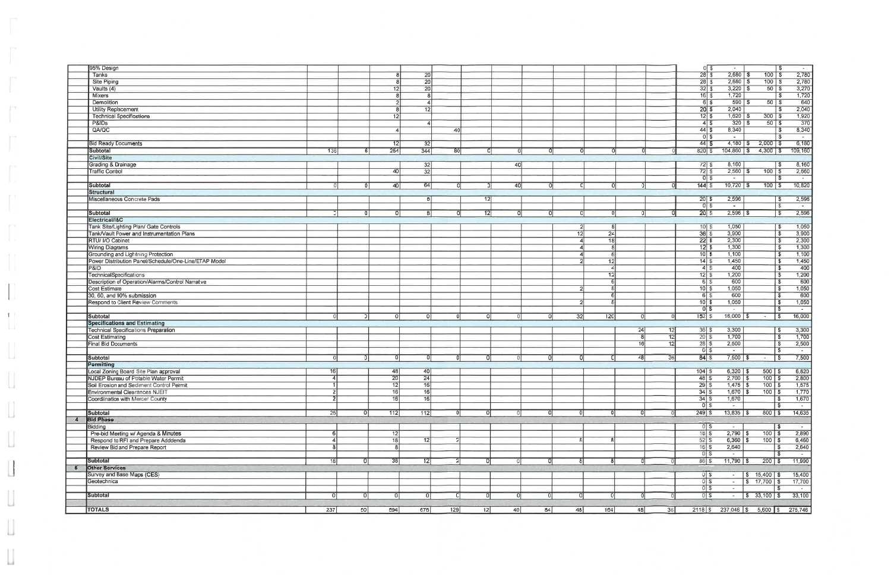|                  | 95% Design                                            |                |                 |                 |                 |                |                 |          |    |                 |                 |    |    | 05                            | $\sim$                   |                                  | 'S<br>$\sim$                         |
|------------------|-------------------------------------------------------|----------------|-----------------|-----------------|-----------------|----------------|-----------------|----------|----|-----------------|-----------------|----|----|-------------------------------|--------------------------|----------------------------------|--------------------------------------|
|                  | Tanks                                                 |                |                 |                 | 20              |                |                 |          |    |                 |                 |    |    | $28 \overline{\smash{)}\,5}$  | $2,680$ \$               | $100$ $\sqrt{5}$                 | 2,780                                |
|                  | <b>Site Piping</b>                                    |                |                 |                 | $\overline{20}$ |                |                 |          |    |                 |                 |    |    | $28$ \$                       | $2,680$ \$               | $100$ $\sqrt{5}$                 | 2,780                                |
|                  | Vaults (4)                                            |                |                 | 12              | $\overline{20}$ |                |                 |          |    |                 |                 |    |    | 325                           | $3,220$ \$               | $50$ \$                          | 3,270                                |
|                  | Mixers                                                |                |                 |                 | $\overline{8}$  |                |                 |          |    |                 |                 |    |    | 165                           | 1,720                    |                                  | 1,720<br>l \$                        |
|                  | Demolition                                            |                |                 |                 | 4 <sup>1</sup>  |                |                 |          |    |                 |                 |    |    | 65                            | 590                      | $50$ $\sqrt{5}$                  | 640                                  |
|                  |                                                       |                |                 |                 |                 |                |                 |          |    |                 |                 |    |    |                               |                          |                                  |                                      |
|                  | <b>Utility Replacement</b>                            |                |                 |                 | 12              |                |                 |          |    |                 |                 |    |    | $20 $ \$                      | 2,040                    |                                  | 2,040                                |
|                  | <b>Technical Specifications</b>                       |                |                 | 12              |                 |                |                 |          |    |                 |                 |    |    | $12 \overline{\smash{)}\,$ \$ | 1,620                    | $300$ $\sqrt{s}$                 | 1,920                                |
|                  | P&ID <sub>s</sub>                                     |                |                 |                 |                 |                |                 |          |    |                 |                 |    |    | $4\overline{3}$               | 320                      | $50$ \$                          | $\overline{370}$                     |
|                  | QA/QC                                                 |                |                 |                 |                 | 40             |                 |          |    |                 |                 |    |    | $44$ \$                       | 8,340                    |                                  | 8,340                                |
|                  |                                                       |                |                 |                 |                 |                |                 |          |    |                 |                 |    |    | $0$ \$                        | $\sim$                   |                                  | $\sim$                               |
|                  | <b>Bid Ready Documents</b>                            |                |                 | 12              | 32              |                |                 |          |    |                 |                 |    |    | 445                           | $4,180$ \$               | $2,000$ \$                       | 6,180                                |
|                  |                                                       | 136            |                 | 254             | 344             | 80             | $\Omega$        |          |    |                 |                 |    |    |                               | $104,860$ \ \$           | $4,300$ \$                       | 109,160                              |
|                  | Subtotal                                              |                | 61              |                 |                 |                |                 |          |    |                 |                 |    |    | 820 S                         |                          |                                  |                                      |
|                  | Civil/Site                                            |                |                 |                 |                 |                |                 |          |    |                 |                 |    |    |                               |                          |                                  |                                      |
|                  | Grading & Drainage                                    |                |                 |                 | 32              |                |                 | 40       |    |                 |                 |    |    | $72$ \$                       | 8,160                    |                                  | 8,160                                |
|                  | <b>Traffic Control</b>                                |                |                 | 40              | $\overline{32}$ |                |                 |          |    |                 |                 |    |    | $72\overline{3}$              | $2,560$ \$               | $100$ \$                         | 2,660                                |
|                  |                                                       |                |                 |                 |                 |                |                 |          |    |                 |                 |    |    | $0$ \$                        | $\sim$                   |                                  | <b>S</b><br>$\sim$ $\sim$            |
|                  | Subtotal                                              |                |                 | 40              | 64              | Ð              | οı              | 40       | n  |                 |                 |    |    | 144S                          | $10,720$ \ \$            | $100$ $\sqrt{5}$                 | 10,820                               |
|                  | <b>Structural</b>                                     |                |                 |                 |                 |                |                 |          |    |                 |                 |    |    |                               |                          |                                  |                                      |
|                  |                                                       |                |                 |                 |                 |                |                 |          |    |                 |                 |    |    |                               |                          |                                  |                                      |
|                  | Miscellaneous Concrete Pads                           |                |                 |                 | 8               |                | 12              |          |    |                 |                 |    |    | $\boxed{20}$ \$               | 2,596                    |                                  | 2,596<br>l \$                        |
|                  |                                                       |                |                 |                 |                 |                |                 |          |    |                 |                 |    |    | $0$ \$                        | <b>FOR</b>               |                                  | $\sim$                               |
|                  | <b>Subtotal</b>                                       |                |                 |                 | 8               |                | 12              | ΩI       |    | ΩI              |                 |    |    | $20 \mid S$                   | $2,596$ \$               | $ \sqrt{5}$                      | 2,596                                |
|                  | Electrical/I&C                                        |                |                 |                 |                 |                |                 |          |    |                 |                 |    |    |                               |                          |                                  |                                      |
|                  | Tank Site/Lighting Plan/ Gate Controls                |                |                 |                 |                 |                |                 |          |    | -21             |                 |    |    | $10$ $\sqrt{5}$               | 1,050                    |                                  | 1,050<br>l Si                        |
|                  | Tank/Vault Power and Instrumentation Plans            |                |                 |                 |                 |                |                 |          |    | 12 <sub>l</sub> | 24              |    |    | 36S                           | 3,900                    |                                  | 3,900<br>ာ                           |
|                  |                                                       |                |                 |                 |                 |                |                 |          |    |                 |                 |    |    |                               |                          |                                  |                                      |
|                  | RTU/ I/O Cabinet                                      |                |                 |                 |                 |                |                 |          |    |                 | $\overline{18}$ |    |    | $22\overline{3}$              | 2,300                    |                                  | 2,300<br>-S                          |
|                  | <b>Wiring Diagrams</b>                                |                |                 |                 |                 |                |                 |          |    |                 |                 |    |    | 1235                          | 1,300                    |                                  | 1,300<br>$\mathbf{s}$                |
|                  | Grounding and Lightning Protection                    |                |                 |                 |                 |                |                 |          |    |                 |                 |    |    | $10\overline{\smash{)}\,}$    | 1,100                    |                                  | 1,100<br>\$                          |
|                  | Power Distribution Panel/Schedule/One-Line/ETAP Model |                |                 |                 |                 |                |                 |          |    |                 | 12              |    |    | $14$ \$                       | 1,450                    |                                  | 1,450<br>$\mathbf{s}$                |
|                  | P&ID                                                  |                |                 |                 |                 |                |                 |          |    |                 |                 |    |    | $4$ $\sqrt{5}$                | 400                      |                                  | 400<br>$\mathbf{s}$                  |
|                  | <b>TechnicalSpecifications</b>                        |                |                 |                 |                 |                |                 |          |    |                 | 12              |    |    | $12\overline{3}$              | 1,200                    |                                  | 1,200<br>-S                          |
|                  |                                                       |                |                 |                 |                 |                |                 |          |    |                 |                 |    |    |                               |                          |                                  |                                      |
|                  | Description of Operation/Alarms/Control Narrative     |                |                 |                 |                 |                |                 |          |    |                 |                 |    |    | 6S                            | 600                      |                                  | 600<br>$\mathbf{s}$                  |
|                  | Cost Estimate                                         |                |                 |                 |                 |                |                 |          |    |                 |                 |    |    | $10\overline{\smash{5}}$      | 1,050                    |                                  | 1,050<br><b>S</b>                    |
|                  | 30, 60, and 90% submission                            |                |                 |                 |                 |                |                 |          |    |                 |                 |    |    | $6 \mid 5$                    | 600                      |                                  | 600<br>\$                            |
|                  | Respond to Client Review Comments                     |                |                 |                 |                 |                |                 |          |    |                 |                 |    |    | $10$ \$                       | 1,050                    |                                  | 1,050<br>\$                          |
|                  |                                                       |                |                 |                 |                 |                |                 |          |    |                 |                 |    |    | $0\sqrt{5}$                   | $\overline{\phantom{a}}$ |                                  | - \$<br>$\sim$                       |
|                  | Subtotal                                              |                | ΩI              | $\Omega$        | 0 I             | -01            | -OI             |          | n  | 32              | 120             |    |    | 152S                          | $16,000$ \$              | <b>S</b><br>$\sim$               | 16,000                               |
|                  | <b>Specifications and Estimating</b>                  |                |                 |                 |                 |                |                 |          |    |                 |                 |    |    |                               |                          |                                  |                                      |
|                  |                                                       |                |                 |                 |                 |                |                 |          |    |                 |                 |    |    |                               |                          |                                  |                                      |
|                  | Technical Specifications Preparation                  |                |                 |                 |                 |                |                 |          |    |                 |                 | 24 | 12 | $36$ $$$                      | 3,300                    |                                  | 3,300<br>l \$                        |
|                  | Cost Estimating                                       |                |                 |                 |                 |                |                 |          |    |                 |                 | -8 | 12 | $20$ \$                       | 1,700                    |                                  | 1,700<br><b>S</b>                    |
|                  | <b>Final Bid Documents</b>                            |                |                 |                 |                 |                |                 |          |    |                 |                 | 16 | 12 | $28$ \$                       | 2,500                    |                                  | 2,500<br>- 3                         |
|                  |                                                       |                |                 |                 |                 |                |                 |          |    |                 |                 |    |    | $\overline{0}$ \$             | $\overline{\phantom{a}}$ |                                  | $\sim$                               |
|                  | Subtotal                                              |                |                 |                 | ΩI              | ΩI             | ΩI              |          |    |                 | 01              | 48 | 36 | 84S                           | $7,500$ \$               | $ \sqrt{S}$                      | 7,500                                |
|                  | Permitting                                            |                |                 |                 |                 |                |                 |          |    |                 |                 |    |    |                               |                          |                                  |                                      |
|                  |                                                       | 16             |                 | 48              |                 |                |                 |          |    |                 |                 |    |    |                               | $6,320$ \ \$             |                                  |                                      |
|                  | Local Zoning Board Site Plan approval                 |                |                 |                 | 40              |                |                 |          |    |                 |                 |    |    |                               |                          | $500$ $\sqrt{5}$                 | 6,820                                |
|                  | NJDEP Bureau of Potable Water Permit                  |                |                 | 20              | 24              |                |                 |          |    |                 |                 |    |    | $48\overline{5}$              | $2,700$ \$               | $100$ \$                         | 2,800                                |
|                  | Soil Erosion and Sediment Control Permit              |                |                 | 12              | 16              |                |                 |          |    |                 |                 |    |    | 29S                           | $1,475$ \$               | $100$   \$                       | 1,575                                |
|                  | Environmental Clearances NJEIT                        | $\overline{2}$ |                 | 16              | $\frac{16}{16}$ |                |                 |          |    |                 |                 |    |    | $34 \mid$ \$                  | 1,670 \$                 | $100$   \$                       | 1,770                                |
|                  | Coordiination with Mercer County                      |                |                 | $\overline{16}$ |                 |                |                 |          |    |                 |                 |    |    | $34$ \$                       | 1,670                    |                                  | 1,670<br><b>S</b>                    |
|                  |                                                       |                |                 |                 |                 |                |                 |          |    |                 |                 |    |    | $\overline{0 s}$              | $\sim$                   |                                  | T\$<br>$\sim 100$ km s $^{-1}$       |
|                  | Subtotal                                              | 25             | Οl              | 112             | 112             | ΩI             | 0               |          |    | ΩI              | ΩI              |    |    | $249$ \$                      | $13,835$ \$              | $800$ \ \$                       | 14,635                               |
|                  |                                                       |                |                 |                 |                 |                |                 |          |    |                 |                 |    |    |                               |                          |                                  |                                      |
| $\boldsymbol{A}$ | <b>Bid Phase</b>                                      |                |                 |                 |                 |                |                 |          |    |                 |                 |    |    |                               |                          |                                  |                                      |
|                  | Bidding                                               |                |                 |                 |                 |                |                 |          |    |                 |                 |    |    | $0$ $\sqrt{5}$                |                          | l Si                             | $\sim$                               |
|                  | Pre-bid Meeting w/ Agenda & Minutes                   | -61            |                 | 12              |                 |                |                 |          |    |                 |                 |    |    | 18S                           | $2,790$ \$               | $100$ \$                         | 2,890                                |
|                  | Respond to RFI and Prepare Adddenda                   |                |                 | 18              | 12              |                |                 |          |    |                 |                 |    |    | 52S                           | $6,360$ \$               | $100$ \$                         | 6,460                                |
|                  | Review Bid and Prepare Report                         |                |                 | $\overline{8}$  |                 |                |                 |          |    |                 |                 |    |    | $16$ \$                       | 2,640                    |                                  | 2,640<br>  \$                        |
|                  |                                                       |                |                 |                 |                 |                |                 |          |    |                 |                 |    |    | $0$ \$                        | $\sim$                   |                                  | $\overline{\phantom{a}}$<br><b>S</b> |
|                  |                                                       |                |                 |                 |                 |                |                 |          |    |                 |                 |    |    | 86S                           | $11,790$ \$              |                                  |                                      |
|                  | Subtotal                                              | 18             |                 | 38              | 12              | $\overline{2}$ | 0               |          |    |                 |                 |    |    |                               |                          | $200$ \$                         | 11,990                               |
| 5                | <b>Other Services</b>                                 |                |                 |                 |                 |                |                 |          |    |                 |                 |    |    |                               |                          |                                  |                                      |
|                  | Survey and Base Maps (CES)                            |                |                 |                 |                 |                |                 |          |    |                 |                 |    |    | $0$ $s$                       |                          | $-$ \$ 15,400 \$                 | 15,400                               |
|                  | Geotechnical                                          |                |                 |                 |                 |                |                 |          |    |                 |                 |    |    | $0$ \$                        |                          | $-$ \$ 17,700 \$                 | 17,700                               |
|                  |                                                       |                |                 |                 |                 |                |                 |          |    |                 |                 |    |    | $0$ \$                        | $\sim$ $-$               |                                  | S.<br>$\sim$ $ \sim$                 |
|                  | Subtotal                                              |                |                 | 0 I             |                 | 0 <sup>1</sup> | 01              | $\Omega$ | ΩI |                 |                 |    |    | 0s                            |                          | $-$ \$ 33,100 \$                 | 33,100                               |
|                  |                                                       |                |                 |                 |                 |                |                 |          |    |                 |                 |    |    |                               |                          |                                  |                                      |
|                  |                                                       |                |                 |                 |                 |                |                 |          |    |                 |                 |    |    |                               |                          |                                  |                                      |
|                  | <b>TOTALS</b>                                         | 237            | $\overline{50}$ | 594             | 676             | 129            | $\overline{12}$ | 40       | 84 | 48              | 164             | 48 | 36 |                               |                          | 2118 \$237,046 \$5,600 \$275,746 |                                      |

 $\hfill\Box$ 

 $\bigcup$ 

 $\begin{bmatrix} \ \ \ \end{bmatrix}$ 

 $\begin{bmatrix} \end{bmatrix}$ 

 $\begin{bmatrix} 1 \\ 2 \end{bmatrix}$ 

 $\begin{array}{c} \hline \end{array}$ 

U

Ы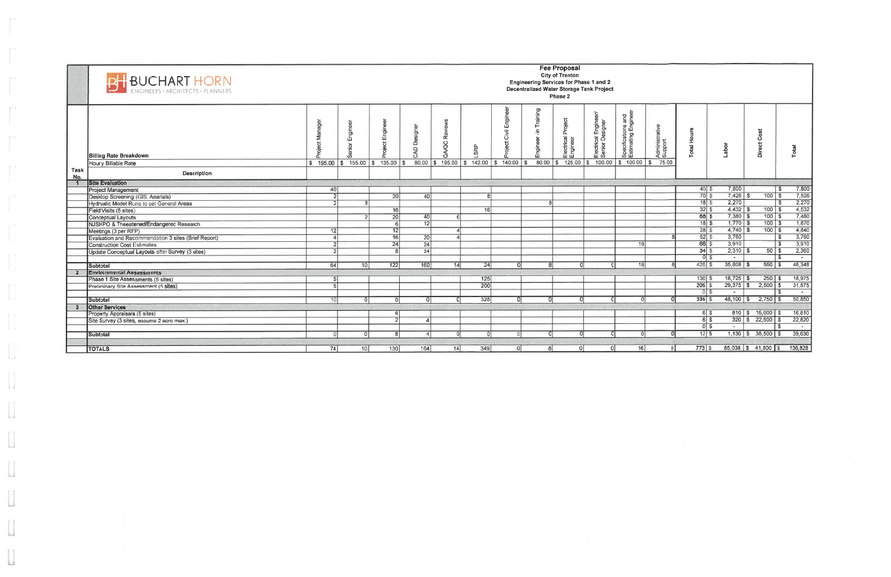|      | BUCHART HORN<br>막                                    |                                                   |                 |                 |                     |             |                                |                                     |                                   | <b>Fee Proposal</b><br><b>City of Trenton</b><br>Engineering Services for Phase 1 and 2<br>Decentralized Water Storage Tank Project<br>Phase 2 |                                            |                                           |                           |                                       |               |                                                       |                       |
|------|------------------------------------------------------|---------------------------------------------------|-----------------|-----------------|---------------------|-------------|--------------------------------|-------------------------------------|-----------------------------------|------------------------------------------------------------------------------------------------------------------------------------------------|--------------------------------------------|-------------------------------------------|---------------------------|---------------------------------------|---------------|-------------------------------------------------------|-----------------------|
|      | <b>Billing Rate Breakdown</b>                        |                                                   | ngineer<br>面    | Enginee<br>ಕ    | igi<br>Si<br>ă<br>≏ | Review<br>g | SRP                            | Engi<br><b>Givil</b><br>甘<br>e<br>P | puinia<br>$\blacksquare$<br>ngine | Project<br>Electrical I<br>Engineer                                                                                                            | Engin<br>signer<br>Electrical<br>Senior De | Specifications and<br>Estimating Engineer | Administrative<br>Support | otal Hours                            | Labor         | Cost<br><b>Direct</b>                                 | otal                  |
| Task | Hourly Billable Rate                                 | $\frac{1}{3}$ 195.00 \ \$ 155.00 \ \$ 135.00 \ \$ |                 |                 | 80.00               | \$195.00    | $\frac{1}{2}$ 142.00 \$ 140.00 |                                     | 80.00                             | 125.00                                                                                                                                         | 100.00<br>ا \$                             | $$100.00$ \\$                             | 75.00                     |                                       |               |                                                       |                       |
| No.  | Description                                          |                                                   |                 |                 |                     |             |                                |                                     |                                   |                                                                                                                                                |                                            |                                           |                           |                                       |               |                                                       |                       |
|      | <b>Site Evaluation</b>                               |                                                   |                 |                 |                     |             |                                |                                     |                                   |                                                                                                                                                |                                            |                                           |                           |                                       |               |                                                       |                       |
|      | <b>Project Management</b>                            | 40                                                |                 |                 |                     |             |                                |                                     |                                   |                                                                                                                                                |                                            |                                           |                           | $40$ $\sqrt{5}$<br>$\overline{70}$ \$ | 7,800         |                                                       | 7,800<br>l S          |
|      | Desktop Screening (GIS, Aearials)                    |                                                   |                 | $\overline{20}$ | 40                  |             | $\mathbf{8}$                   |                                     |                                   |                                                                                                                                                |                                            |                                           |                           |                                       | $7,426$ \$    | $100$ \$                                              | 7,526                 |
|      | Hydrualic Model Runs to set General Areas            |                                                   |                 |                 |                     |             |                                |                                     |                                   |                                                                                                                                                |                                            |                                           |                           | 185                                   | 2,270         |                                                       | 2,270<br>$\mathbf{s}$ |
|      | Field Visits (5 sites)                               |                                                   |                 | 16              |                     |             | 16                             |                                     |                                   |                                                                                                                                                |                                            |                                           |                           | 32S                                   | $4,432$ \$    | $100$   \$                                            | 4,532                 |
|      | Conceptual Layouts                                   |                                                   |                 | 20              | 40                  |             |                                |                                     |                                   |                                                                                                                                                |                                            |                                           |                           | $68\overline{3}$                      | $7,380$ \$    | $100$ \$                                              | 7,480                 |
|      | NJSHPO & Theeatened/Endangered Research              |                                                   |                 |                 | 12                  |             |                                |                                     |                                   |                                                                                                                                                |                                            |                                           |                           | 185                                   | $1,770$ \$    | $100$   \$                                            | 7,870                 |
|      | Meetings (3 per RFP)                                 | 12                                                |                 | 12              |                     |             |                                |                                     |                                   |                                                                                                                                                |                                            |                                           |                           | $\overline{28}$ \$                    | $4,740$ \$    | $100$ $\sqrt{s}$                                      | 4,840                 |
|      | Evaluation and Recommendation 3 sites (Brief Report) |                                                   |                 | 16              | 20                  |             |                                |                                     |                                   |                                                                                                                                                |                                            |                                           |                           | 52S                                   | 3,760         |                                                       | 3,760<br>$\mathbf{s}$ |
|      | <b>Construction Cost Estimates</b>                   | $\overline{2}$                                    |                 | 24              | 24                  |             |                                |                                     |                                   |                                                                                                                                                |                                            | 16                                        |                           | 665                                   | 3,910         |                                                       | 3,910<br>-\$          |
|      | Update Conceptual Layouts after Survey (3 sites)     | $\overline{2}$                                    |                 | я               | 24                  |             |                                |                                     |                                   |                                                                                                                                                |                                            |                                           |                           | 34S                                   | $2,310$ \$    | $50$ $\overline{\text{}}$ \$                          | 2,360                 |
|      |                                                      |                                                   |                 |                 |                     |             |                                |                                     |                                   |                                                                                                                                                |                                            |                                           |                           | $0$ $\sqrt{5}$                        | $\sim$        |                                                       | -S<br>$\sim$          |
|      | Subtotal                                             | 64                                                | 10 <sup>1</sup> | 122             | 160                 | 14          | 24                             | $\Omega$                            | $\mathbf{R}$                      | ΩI                                                                                                                                             |                                            | 16                                        |                           | $426$ \$                              | $35,808$ \$   | $550$ \ \$                                            | 46,348                |
|      | <b>Environmental Assessments</b>                     |                                                   |                 |                 |                     |             |                                |                                     |                                   |                                                                                                                                                |                                            |                                           |                           |                                       |               |                                                       |                       |
|      | Phase 1 Site Assessments (5 sites)                   | 5                                                 |                 |                 |                     |             | 125                            |                                     |                                   |                                                                                                                                                |                                            |                                           |                           | 130S                                  | $18,725$ \$   | $250$ \$                                              | 18,975                |
|      | Preliminary Site Assessment (5 sites)                | 5                                                 |                 |                 |                     |             | $\overline{200}$               |                                     |                                   |                                                                                                                                                |                                            |                                           |                           | $205 \overline{\smash{5}}$            | $29,375$ \$   | $2,500$ \$                                            | 31,875                |
|      |                                                      |                                                   |                 |                 |                     |             |                                |                                     |                                   |                                                                                                                                                |                                            |                                           |                           | $0$ $\sqrt{S}$                        | $\sim$        |                                                       | $\sim$                |
|      | Subtotal                                             | 10                                                |                 |                 |                     |             | 325                            |                                     |                                   |                                                                                                                                                |                                            |                                           |                           | 335S                                  | $48,100$ \ \$ | $2,750$ \ \$                                          | 50,850                |
|      | <b>Other Services</b>                                |                                                   |                 |                 |                     |             |                                |                                     |                                   |                                                                                                                                                |                                            |                                           |                           |                                       |               |                                                       |                       |
|      | Property Appraisals (5 sites)                        |                                                   |                 |                 |                     |             |                                |                                     |                                   |                                                                                                                                                |                                            |                                           |                           | 6S                                    |               | 810 \$16,000 \$                                       | 16,810                |
|      | Site Survey (3 sites, assume 2 acre max.)            |                                                   |                 |                 |                     |             |                                |                                     |                                   |                                                                                                                                                |                                            |                                           |                           | 65                                    |               | $320 \begin{array}{ c c } 3 & 22,500 & 5 \end{array}$ | 22,820                |
|      |                                                      |                                                   |                 |                 |                     |             |                                |                                     |                                   |                                                                                                                                                |                                            |                                           |                           | তা হ                                  | $\sim$ $-$    |                                                       | - - -                 |
|      | Subtotal                                             |                                                   |                 |                 |                     |             | 0                              |                                     |                                   |                                                                                                                                                |                                            |                                           |                           | 12S                                   |               | $1,130$ \ \$ 38,500 \ \$                              | 39,630                |
|      |                                                      |                                                   |                 |                 |                     |             |                                |                                     |                                   |                                                                                                                                                |                                            |                                           |                           |                                       |               |                                                       |                       |
|      | <b>TOTALS</b>                                        | 74                                                | 10 <sup>1</sup> | 130             | 164                 | 14          | 349                            | 0                                   | -81                               | 0                                                                                                                                              | 0                                          | 16                                        | $\mathcal{R}$             | $773$ $\frac{1}{9}$                   |               | 85,038 \$41,800 \$                                    | 136,828               |

 $[ \ ]$ 

 $\begin{bmatrix} \phantom{-} \end{bmatrix}$ 

 $\left[\right]$ 

 $\begin{array}{c} \hline \end{array}$ 

 $\begin{bmatrix} 1 \\ 2 \end{bmatrix}$ 

 $\hfill\Box$ 

 $\bigcup$ 

 $\Box$ 

 $\bigcup_{i=1}^{n-1}$ 

 $\begin{array}{c} \square \end{array}$ 

Ш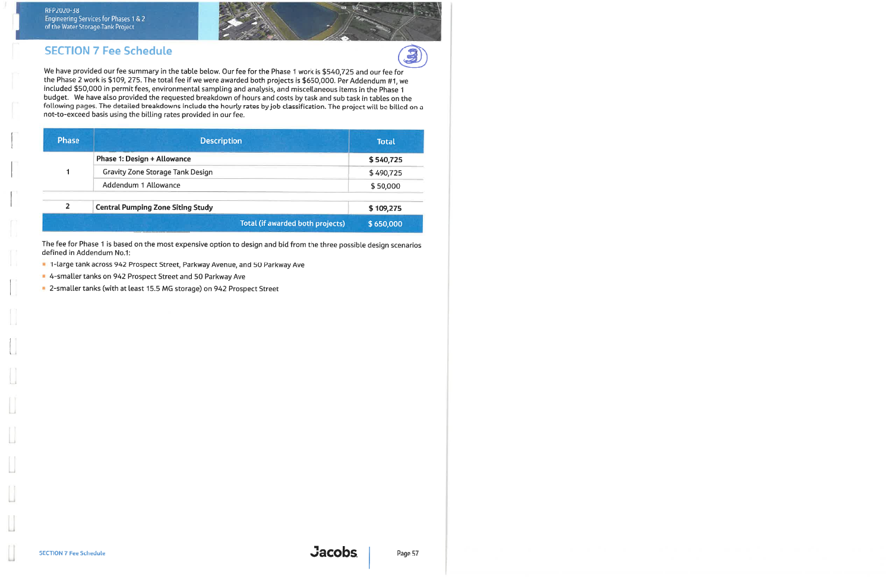RFP2020-38 Engineering Services for Phases 1 & 2<br>of the Water Storage Tank Project



We have provided our fee summary in the table below. Our fee for the Phase 1 work is \$540,725 and our fee for the Phase 2 work is \$109, 275. The total fee if we were awarded both projects is \$650,000. Per Addendum #1, we included \$50,000 in permit fees, environmental sampling and analysis, and miscellaneous items in the Phase 1 budget. We have also provided the requested breakdown of hours and costs by task and sub task in tables on the following pages. The detailed breakdowns include the hourly rates by job classification. The project will be billed on a not-to-exceed basis using the billing rates provided in our fee.

| <b>Phase</b> | <b>Description</b>                       | <b>Total</b> |
|--------------|------------------------------------------|--------------|
|              | Phase 1: Design + Allowance              | \$540,725    |
|              | <b>Gravity Zone Storage Tank Design</b>  | \$490,725    |
|              | Addendum 1 Allowance                     | \$50,000     |
| 2            | <b>Central Pumping Zone Siting Study</b> | \$109,275    |
|              | <b>Total (if awarded both projects)</b>  | \$650,000    |

The fee for Phase 1 is based on the most expensive option to design and bid from the three possible design scenarios defined in Addendum No.1:

- 1-large tank across 942 Prospect Street, Parkway Avenue, and 50 Parkway Ave
- 4-smaller tanks on 942 Prospect Street and 50 Parkway Ave
- 2-smaller tanks (with at least 15.5 MG storage) on 942 Prospect Street

3